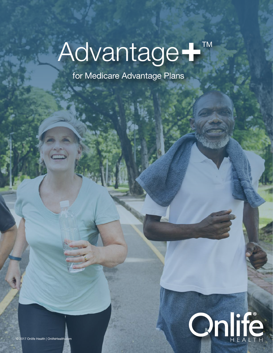## Advantage<sup>+™</sup>

for Medicare Advantage Plans